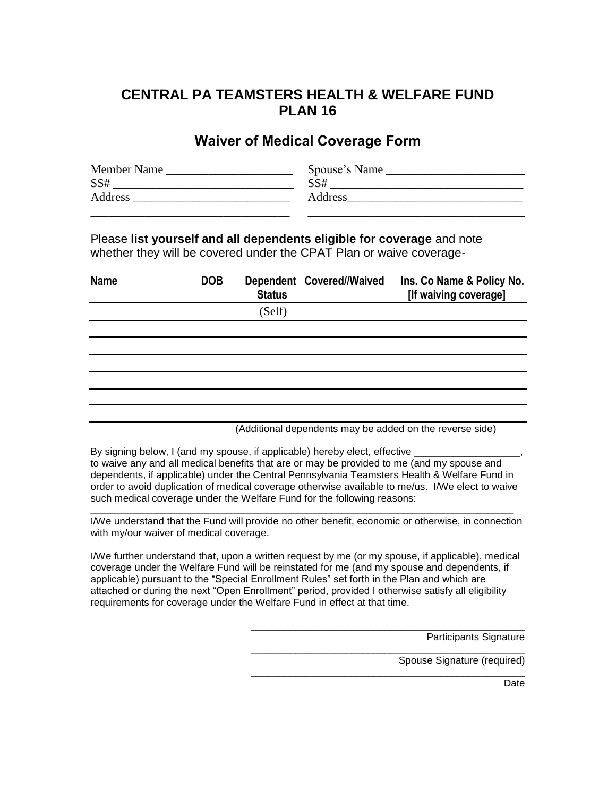## **CENTRAL PA TEAMSTERS HEALTH & WELFARE FUND PLAN 16**

## **Waiver of Medical Coverage Form**

| Member Name | Spouse's Name |
|-------------|---------------|
| SS#         | SS#           |
| Address     | Address       |
|             |               |

Please **list yourself and all dependents eligible for coverage** and note whether they will be covered under the CPAT Plan or waive coverage-

| <b>Name</b> | <b>DOB</b> | <b>Status</b> | Dependent Covered//Waived | Ins. Co Name & Policy No.<br>[If waiving coverage] |
|-------------|------------|---------------|---------------------------|----------------------------------------------------|
|             |            | (Self)        |                           |                                                    |
|             |            |               |                           |                                                    |
|             |            |               |                           |                                                    |
|             |            |               |                           |                                                    |
|             |            |               |                           |                                                    |
|             |            |               |                           |                                                    |
|             |            |               |                           |                                                    |

(Additional dependents may be added on the reverse side)

\_\_\_\_\_\_\_\_\_\_\_\_\_\_\_\_\_\_\_\_\_\_\_\_\_\_\_\_\_\_\_\_\_\_\_\_\_\_\_\_\_\_\_\_\_\_\_\_\_

\_\_\_\_\_\_\_\_\_\_\_\_\_\_\_\_\_\_\_\_\_\_\_\_\_\_\_\_\_\_\_\_\_\_\_\_\_\_\_\_\_\_\_\_\_\_\_\_\_

\_\_\_\_\_\_\_\_\_\_\_\_\_\_\_\_\_\_\_\_\_\_\_\_\_\_\_\_\_\_\_\_\_\_\_\_\_\_\_\_\_\_\_\_\_\_\_\_\_

By signing below, I (and my spouse, if applicable) hereby elect, effective to waive any and all medical benefits that are or may be provided to me (and my spouse and dependents, if applicable) under the Central Pennsylvania Teamsters Health & Welfare Fund in order to avoid duplication of medical coverage otherwise available to me/us. I/We elect to waive such medical coverage under the Welfare Fund for the following reasons:

I/We understand that the Fund will provide no other benefit, economic or otherwise, in connection with my/our waiver of medical coverage.

\_\_\_\_\_\_\_\_\_\_\_\_\_\_\_\_\_\_\_\_\_\_\_\_\_\_\_\_\_\_\_\_\_\_\_\_\_\_\_\_\_\_\_\_\_\_\_\_\_\_\_\_\_\_\_\_\_\_\_\_\_\_\_\_\_\_\_\_\_\_\_\_\_\_\_\_\_\_\_\_\_\_\_\_

I/We further understand that, upon a written request by me (or my spouse, if applicable), medical coverage under the Welfare Fund will be reinstated for me (and my spouse and dependents, if applicable) pursuant to the "Special Enrollment Rules" set forth in the Plan and which are attached or during the next "Open Enrollment" period, provided I otherwise satisfy all eligibility requirements for coverage under the Welfare Fund in effect at that time.

Participants Signature

Spouse Signature (required)

**Date**